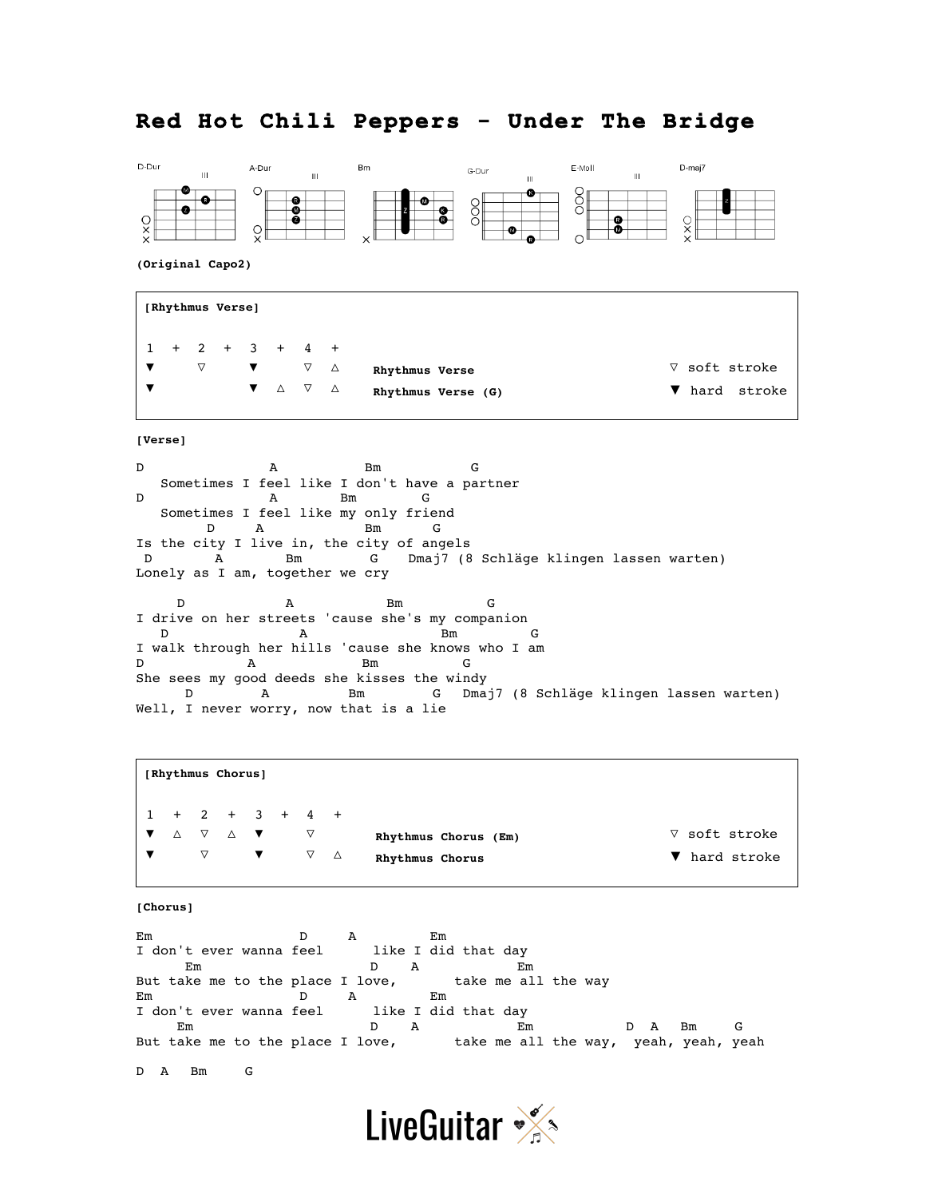## **Red Hot Chili Peppers - Under The Bridge**



**(Original Capo2)**

**[Rhythmus Verse]** 1 + 2 + 3 + 4 + ▼ ▽ ▼ ▽ △ ▼ ▼ △ ▽ △ **Rhythmus Verse Rhythmus Verse (G)** ▽ soft stroke ▼ hard stroke

**[Verse]**

D A Bm G Sometimes I feel like I don't have a partner D A Bm G Sometimes I feel like my only friend D A Bm G Is the city I live in, the city of angels D A Bm G Dmaj7 (8 Schläge klingen lassen warten) Lonely as I am, together we cry D A Bm G I drive on her streets 'cause she's my companion<br>D  $A$  Bm Bm G I walk through her hills 'cause she knows who I am D A Bm G She sees my good deeds she kisses the windy D A Bm G Dmaj7 (8 Schläge klingen lassen warten) Well, I never worry, now that is a lie

**[Rhythmus Chorus]** 1 + 2 + 3 + 4 + ▼ △ ▽ △ ▼ ▽ ▼ ▽ ▼ ▽ △ **Rhythmus Chorus (Em) Rhythmus Chorus** ▽ soft stroke ▼ hard stroke

**[Chorus]**

Em D A Em<br>I don't ever wanna feel like I did that day I don't ever wanna feel Em D A Em But take me to the place I love, take me all the way Em D A Em I don't ever wanna feel like I did that day Em D A Em D A Bm G But take me to the place I love, take me all the way, yeah, yeah, yeah

D A Bm G